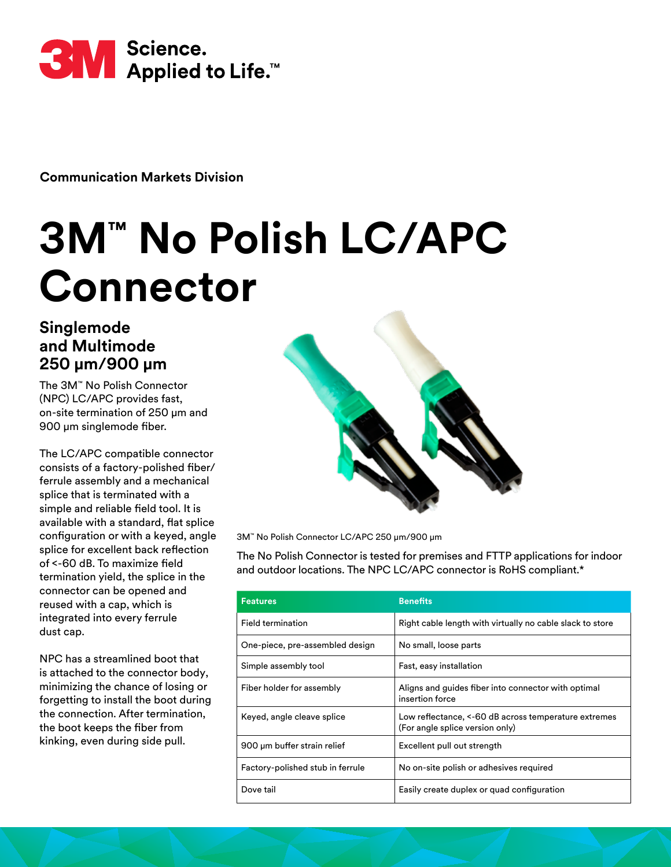

**Communication Markets Division** 

# **3M™ No Polish LC/APC Connector**

## **Singlemode and Multimode 250 μm/900 μm**

The 3M™ No Polish Connector (NPC) LC/APC provides fast, on-site termination of 250 μm and 900 μm singlemode fiber.

The LC/APC compatible connector consists of a factory-polished fiber/ ferrule assembly and a mechanical splice that is terminated with a simple and reliable field tool. It is available with a standard, flat splice configuration or with a keyed, angle splice for excellent back reflection of <-60 dB. To maximize field termination yield, the splice in the connector can be opened and reused with a cap, which is integrated into every ferrule dust cap.

NPC has a streamlined boot that is attached to the connector body, minimizing the chance of losing or forgetting to install the boot during the connection. After termination, the boot keeps the fiber from kinking, even during side pull.



3M™ No Polish Connector LC/APC 250 μm/900 μm

The No Polish Connector is tested for premises and FTTP applications for indoor and outdoor locations. The NPC LC/APC connector is RoHS compliant.\*

| <b>Features</b>                  | <b>Benefits</b>                                                                         |
|----------------------------------|-----------------------------------------------------------------------------------------|
| Field termination                | Right cable length with virtually no cable slack to store                               |
| One-piece, pre-assembled design  | No small, loose parts                                                                   |
| Simple assembly tool             | Fast, easy installation                                                                 |
| Fiber holder for assembly        | Aligns and guides fiber into connector with optimal<br>insertion force                  |
| Keyed, angle cleave splice       | Low reflectance, <-60 dB across temperature extremes<br>(For angle splice version only) |
| 900 um buffer strain relief      | Excellent pull out strength                                                             |
| Factory-polished stub in ferrule | No on-site polish or adhesives required                                                 |
| Dove tail                        | Easily create duplex or quad configuration                                              |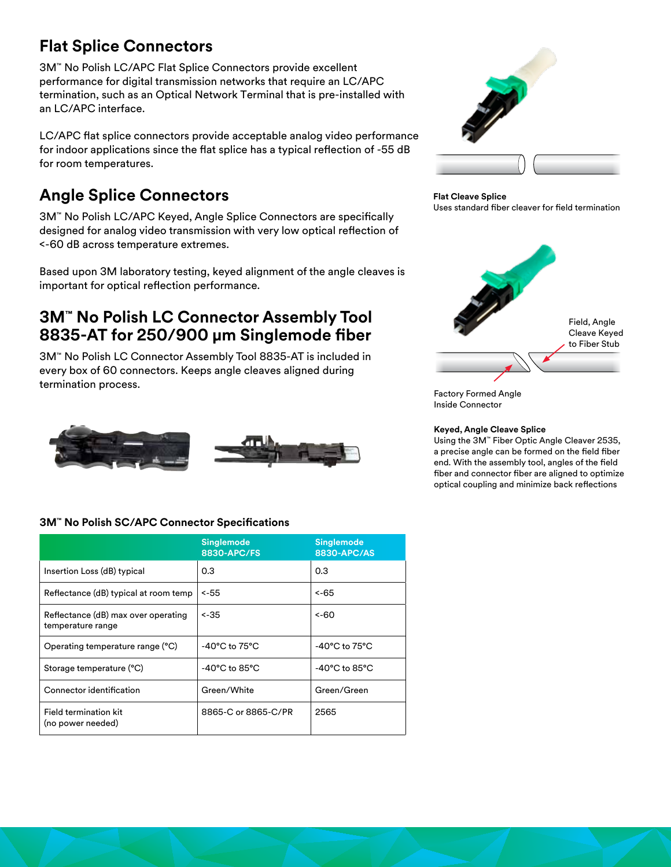## **Flat Splice Connectors**

3M™ No Polish LC/APC Flat Splice Connectors provide excellent performance for digital transmission networks that require an LC/APC termination, such as an Optical Network Terminal that is pre-installed with an LC/APC interface.

LC/APC flat splice connectors provide acceptable analog video performance for indoor applications since the flat splice has a typical reflection of -55 dB for room temperatures.

# **Angle Splice Connectors**

3M™ No Polish LC/APC Keyed, Angle Splice Connectors are specifically designed for analog video transmission with very low optical reflection of <-60 dB across temperature extremes.

Based upon 3M laboratory testing, keyed alignment of the angle cleaves is important for optical reflection performance.

## **3M™ No Polish LC Connector Assembly Tool 8835-AT for 250/900 μm Singlemode fiber**

3M™ No Polish LC Connector Assembly Tool 8835-AT is included in every box of 60 connectors. Keeps angle cleaves aligned during termination process.



### **3M™ No Polish SC/APC Connector Specifications**

|                                                          | <b>Singlemode</b><br>8830-APC/FS   | <b>Singlemode</b><br>8830-APC/AS   |  |
|----------------------------------------------------------|------------------------------------|------------------------------------|--|
| Insertion Loss (dB) typical                              | 0.3                                | 0.3                                |  |
| Reflectance (dB) typical at room temp                    | $< -55$                            | <-65                               |  |
| Reflectance (dB) max over operating<br>temperature range | $< -35$                            | -60 >                              |  |
| Operating temperature range (°C)                         | $-40^{\circ}$ C to $75^{\circ}$ C  | $-40^{\circ}$ C to 75 $^{\circ}$ C |  |
| Storage temperature (°C)                                 | $-40^{\circ}$ C to 85 $^{\circ}$ C | $-40^{\circ}$ C to 85 $^{\circ}$ C |  |
| Connector identification                                 | Green/White                        | Green/Green                        |  |
| Field termination kit<br>(no power needed)               | 8865-C or 8865-C/PR                | 2565                               |  |



#### **Flat Cleave Splice**

Uses standard fiber cleaver for field termination



Factory Formed Angle Inside Connector

#### **Keyed, Angle Cleave Splice**

Using the 3M™ Fiber Optic Angle Cleaver 2535, a precise angle can be formed on the field fiber end. With the assembly tool, angles of the field fiber and connector fiber are aligned to optimize optical coupling and minimize back reflections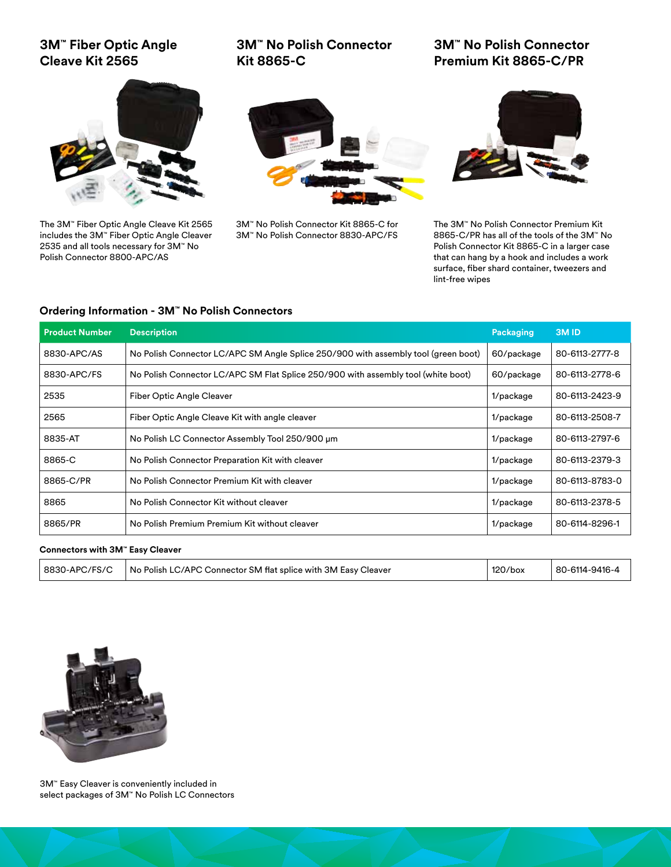## **3M™ Fiber Optic Angle Cleave Kit 2565**



**3M™ No Polish Connector Premium Kit 8865-C/PR**



The 3M™ Fiber Optic Angle Cleave Kit 2565 includes the 3M™ Fiber Optic Angle Cleaver 2535 and all tools necessary for 3M™ No Polish Connector 8800-APC/AS



3M™ No Polish Connector Kit 8865-C for 3M™ No Polish Connector 8830-APC/FS



The 3M™ No Polish Connector Premium Kit 8865-C/PR has all of the tools of the 3M™ No Polish Connector Kit 8865-C in a larger case that can hang by a hook and includes a work surface, fiber shard container, tweezers and lint-free wipes

#### **Ordering Information - 3M™ No Polish Connectors**

| <b>Product Number</b> | <b>Description</b>                                                                 | Packaging | 3M <sub>ID</sub> |
|-----------------------|------------------------------------------------------------------------------------|-----------|------------------|
| 8830-APC/AS           | No Polish Connector LC/APC SM Angle Splice 250/900 with assembly tool (green boot) |           | 80-6113-2777-8   |
| 8830-APC/FS           | No Polish Connector LC/APC SM Flat Splice 250/900 with assembly tool (white boot)  |           | 80-6113-2778-6   |
| 2535                  | Fiber Optic Angle Cleaver                                                          | 1/package | 80-6113-2423-9   |
| 2565                  | Fiber Optic Angle Cleave Kit with angle cleaver                                    | 1/package | 80-6113-2508-7   |
| 8835-AT               | No Polish LC Connector Assembly Tool 250/900 µm                                    | 1/package | 80-6113-2797-6   |
| 8865-C                | No Polish Connector Preparation Kit with cleaver                                   | 1/package | 80-6113-2379-3   |
| 8865-C/PR             | No Polish Connector Premium Kit with cleaver                                       | 1/package | 80-6113-8783-0   |
| 8865                  | No Polish Connector Kit without cleaver                                            | 1/package | 80-6113-2378-5   |
| 8865/PR               | No Polish Premium Premium Kit without cleaver                                      | 1/package | 80-6114-8296-1   |

#### **Connectors with 3M™ Easy Cleaver**

| No Polish LC/APC Connector SM flat splice with 3M Easy Cleaver<br>8830-APC/FS/C | $120$ /box | 80-6114-9416-4 |
|---------------------------------------------------------------------------------|------------|----------------|
|---------------------------------------------------------------------------------|------------|----------------|



3M™ Easy Cleaver is conveniently included in select packages of 3M™ No Polish LC Connectors